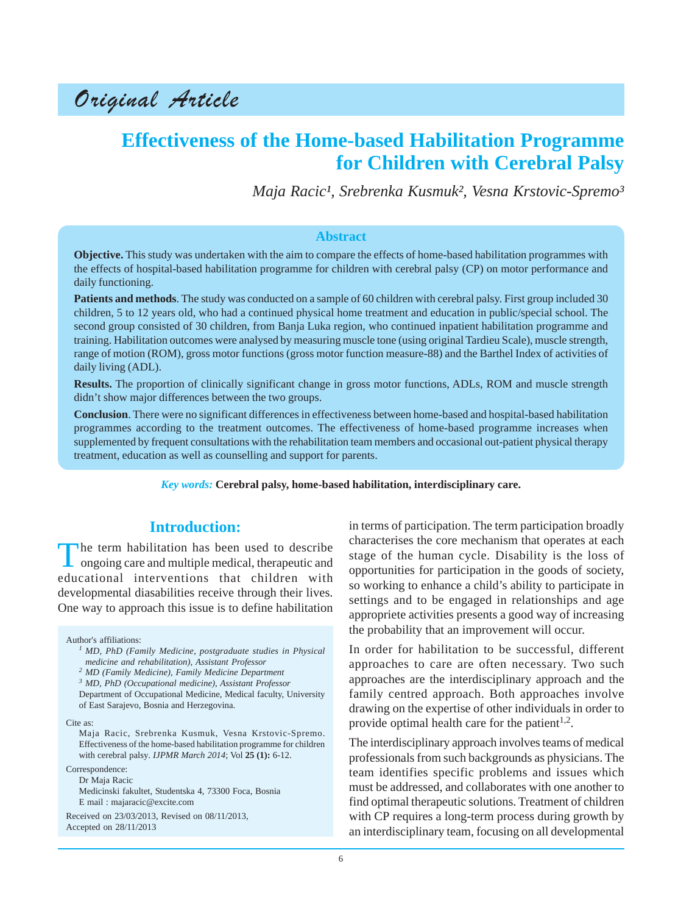Original Article

# **Effectiveness of the Home-based Habilitation Programme for Children with Cerebral Palsy**

*Maja Racic¹, Srebrenka Kusmuk², Vesna Krstovic-Spremo³*

#### **Abstract**

**Objective.** This study was undertaken with the aim to compare the effects of home-based habilitation programmes with the effects of hospital-based habilitation programme for children with cerebral palsy (CP) on motor performance and daily functioning.

**Patients and methods**. The study was conducted on a sample of 60 children with cerebral palsy. First group included 30 children, 5 to 12 years old, who had a continued physical home treatment and education in public/special school. The second group consisted of 30 children, from Banja Luka region, who continued inpatient habilitation programme and training. Habilitation outcomes were analysed by measuring muscle tone (using original Tardieu Scale), muscle strength, range of motion (ROM), gross motor functions (gross motor function measure-88) and the Barthel Index of activities of daily living (ADL).

**Results.** The proportion of clinically significant change in gross motor functions, ADLs, ROM and muscle strength didn't show major differences between the two groups.

**Conclusion**. There were no significant differences in effectiveness between home-based and hospital-based habilitation programmes according to the treatment outcomes. The effectiveness of home-based programme increases when supplemented by frequent consultations with the rehabilitation team members and occasional out-patient physical therapy treatment, education as well as counselling and support for parents.

*Key words:* **Cerebral palsy, home-based habilitation, interdisciplinary care.**

#### **Introduction:**

The term habilitation has been used to describe ongoing care and multiple medical, therapeutic and educational interventions that children with developmental diasabilities receive through their lives. One way to approach this issue is to define habilitation

Author's affiliations:

*<sup>1</sup> MD, PhD (Family Medicine, postgraduate studies in Physical medicine and rehabilitation), Assistant Professor*

Department of Occupational Medicine, Medical faculty, University of East Sarajevo, Bosnia and Herzegovina.

Cite as:

Maja Racic, Srebrenka Kusmuk, Vesna Krstovic-Spremo. Effectiveness of the home-based habilitation programme for children with cerebral palsy. *IJPMR March 2014*; Vol **25 (1):** 6-12.

Correspondence:

Dr Maja Racic Medicinski fakultet, Studentska 4, 73300 Foca, Bosnia E mail : majaracic@excite.com

Received on 23/03/2013, Revised on 08/11/2013, Accepted on 28/11/2013

in terms of participation. The term participation broadly characterises the core mechanism that operates at each stage of the human cycle. Disability is the loss of opportunities for participation in the goods of society, so working to enhance a child's ability to participate in settings and to be engaged in relationships and age appropriete activities presents a good way of increasing the probability that an improvement will occur.

In order for habilitation to be successful, different approaches to care are often necessary. Two such approaches are the interdisciplinary approach and the family centred approach. Both approaches involve drawing on the expertise of other individuals in order to provide optimal health care for the patient<sup>1,2</sup>.

The interdisciplinary approach involves teams of medical professionals from such backgrounds as physicians. The team identifies specific problems and issues which must be addressed, and collaborates with one another to find optimal therapeutic solutions. Treatment of children with CP requires a long-term process during growth by an interdisciplinary team, focusing on all developmental

*<sup>2</sup> MD (Family Medicine), Family Medicine Department*

*<sup>3</sup> MD, PhD (Occupational medicine), Assistant Professor*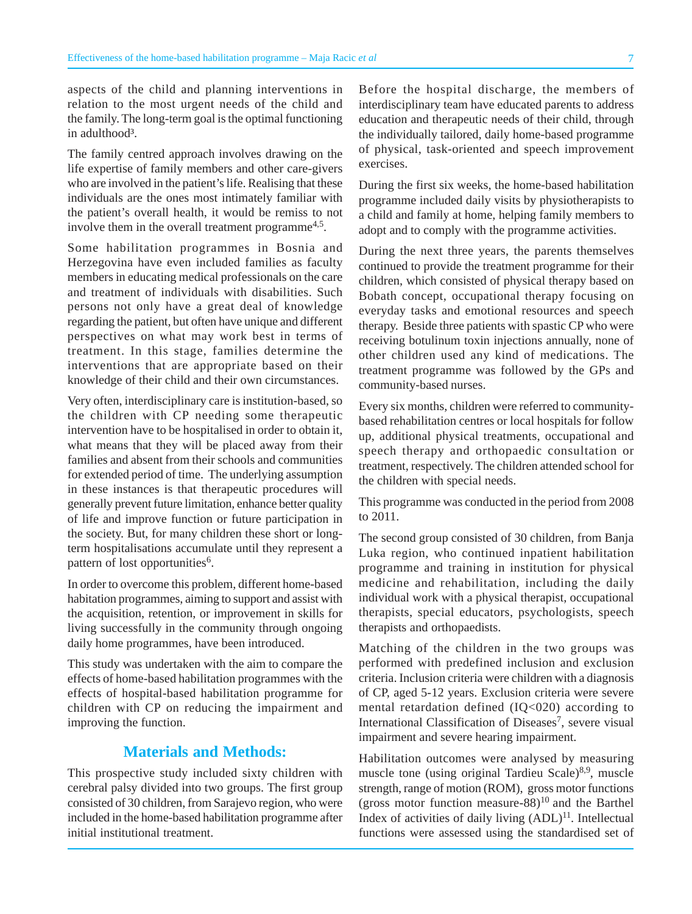aspects of the child and planning interventions in relation to the most urgent needs of the child and the family. The long-term goal is the optimal functioning in adulthood<sup>3</sup>.

The family centred approach involves drawing on the life expertise of family members and other care-givers who are involved in the patient's life. Realising that these individuals are the ones most intimately familiar with the patient's overall health, it would be remiss to not involve them in the overall treatment programme<sup> $4,5$ </sup>.

Some habilitation programmes in Bosnia and Herzegovina have even included families as faculty members in educating medical professionals on the care and treatment of individuals with disabilities. Such persons not only have a great deal of knowledge regarding the patient, but often have unique and different perspectives on what may work best in terms of treatment. In this stage, families determine the interventions that are appropriate based on their knowledge of their child and their own circumstances.

Very often, interdisciplinary care is institution-based, so the children with CP needing some therapeutic intervention have to be hospitalised in order to obtain it, what means that they will be placed away from their families and absent from their schools and communities for extended period of time. The underlying assumption in these instances is that therapeutic procedures will generally prevent future limitation, enhance better quality of life and improve function or future participation in the society. But, for many children these short or longterm hospitalisations accumulate until they represent a pattern of lost opportunities<sup>6</sup>.

In order to overcome this problem, different home-based habitation programmes, aiming to support and assist with the acquisition, retention, or improvement in skills for living successfully in the community through ongoing daily home programmes, have been introduced.

This study was undertaken with the aim to compare the effects of home-based habilitation programmes with the effects of hospital-based habilitation programme for children with CP on reducing the impairment and improving the function.

# **Materials and Methods:**

This prospective study included sixty children with cerebral palsy divided into two groups. The first group consisted of 30 children, from Sarajevo region, who were included in the home-based habilitation programme after initial institutional treatment.

Before the hospital discharge, the members of interdisciplinary team have educated parents to address education and therapeutic needs of their child, through the individually tailored, daily home-based programme of physical, task-oriented and speech improvement exercises.

During the first six weeks, the home-based habilitation programme included daily visits by physiotherapists to a child and family at home, helping family members to adopt and to comply with the programme activities.

During the next three years, the parents themselves continued to provide the treatment programme for their children, which consisted of physical therapy based on Bobath concept, occupational therapy focusing on everyday tasks and emotional resources and speech therapy. Beside three patients with spastic CP who were receiving botulinum toxin injections annually, none of other children used any kind of medications. The treatment programme was followed by the GPs and community-based nurses.

Every six months, children were referred to communitybased rehabilitation centres or local hospitals for follow up, additional physical treatments, occupational and speech therapy and orthopaedic consultation or treatment, respectively. The children attended school for the children with special needs.

This programme was conducted in the period from 2008 to 2011.

The second group consisted of 30 children, from Banja Luka region, who continued inpatient habilitation programme and training in institution for physical medicine and rehabilitation, including the daily individual work with a physical therapist, occupational therapists, special educators, psychologists, speech therapists and orthopaedists.

Matching of the children in the two groups was performed with predefined inclusion and exclusion criteria. Inclusion criteria were children with a diagnosis of CP, aged 5-12 years. Exclusion criteria were severe mental retardation defined (IQ<020) according to International Classification of Diseases<sup>7</sup>, severe visual impairment and severe hearing impairment.

Habilitation outcomes were analysed by measuring muscle tone (using original Tardieu Scale)<sup>8,9</sup>, muscle strength, range of motion (ROM), gross motor functions (gross motor function measure-88) $10$  and the Barthel Index of activities of daily living  $(ADL)^{11}$ . Intellectual functions were assessed using the standardised set of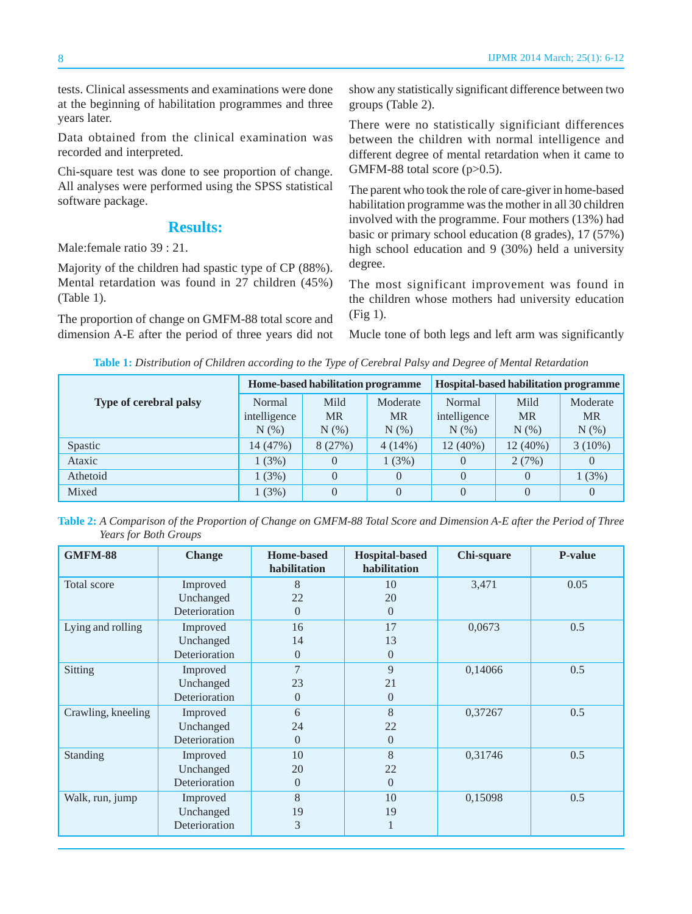tests. Clinical assessments and examinations were done at the beginning of habilitation programmes and three years later.

Data obtained from the clinical examination was recorded and interpreted.

Chi-square test was done to see proportion of change. All analyses were performed using the SPSS statistical software package.

### **Results:**

Male:female ratio 39 : 21.

Majority of the children had spastic type of CP (88%). Mental retardation was found in 27 children (45%) (Table 1).

The proportion of change on GMFM-88 total score and dimension A-E after the period of three years did not show any statistically significant difference between two groups (Table 2).

There were no statistically significiant differences between the children with normal intelligence and different degree of mental retardation when it came to GMFM-88 total score  $(p>0.5)$ .

The parent who took the role of care-giver in home-based habilitation programme was the mother in all 30 children involved with the programme. Four mothers (13%) had basic or primary school education (8 grades), 17 (57%) high school education and 9 (30%) held a university degree.

The most significant improvement was found in the children whose mothers had university education (Fig 1).

Mucle tone of both legs and left arm was significantly

| Table 1: Distribution of Children according to the Type of Cerebral Palsy and Degree of Mental Retardation |  |  |  |  |
|------------------------------------------------------------------------------------------------------------|--|--|--|--|
|------------------------------------------------------------------------------------------------------------|--|--|--|--|

| Type of cerebral palsy | Home-based habilitation programme |                              |                                  | Hospital-based habilitation programme |                            |                                  |
|------------------------|-----------------------------------|------------------------------|----------------------------------|---------------------------------------|----------------------------|----------------------------------|
|                        | Normal<br>intelligence<br>$N(\%)$ | Mild<br><b>MR</b><br>$N(\%)$ | Moderate<br><b>MR</b><br>$N(\%)$ | Normal<br>intelligence<br>N(% )       | Mild<br><b>MR</b><br>N(% ) | Moderate<br><b>MR</b><br>$N(\%)$ |
| Spastic                | 14(47%)                           | 8(27%)                       | $4(14\%)$                        | 12 (40%)                              | $12(40\%)$                 | $3(10\%)$                        |
| Ataxic                 | 1(3%)                             | 0                            | 1(3%)                            | $\left( \right)$                      | 2(7%)                      | $\Omega$                         |
| Athetoid               | 1(3%)                             | $\Omega$                     | 0                                | $\theta$                              | $\Omega$                   | 1(3%)                            |
| Mixed                  | 1(3%)                             | $\Omega$                     | $\theta$                         | $\theta$                              | $\theta$                   | $\Omega$                         |

**Table 2:** *A Comparison of the Proportion of Change on GMFM-88 Total Score and Dimension A-E after the Period of Three Years for Both Groups*

| <b>GMFM-88</b>     | <b>Change</b> | <b>Home-based</b><br>habilitation | <b>Hospital-based</b><br>habilitation | Chi-square | <b>P-value</b> |
|--------------------|---------------|-----------------------------------|---------------------------------------|------------|----------------|
| Total score        | Improved      | 8                                 | 10                                    | 3,471      | 0.05           |
|                    | Unchanged     | 22                                | 20                                    |            |                |
|                    | Deterioration | $\overline{0}$                    | $\overline{0}$                        |            |                |
| Lying and rolling  | Improved      | 16                                | 17                                    | 0,0673     | 0.5            |
|                    | Unchanged     | 14                                | 13                                    |            |                |
|                    | Deterioration | $\Omega$                          | $\overline{0}$                        |            |                |
| Sitting            | Improved      | 7                                 | 9                                     | 0,14066    | 0.5            |
|                    | Unchanged     | 23                                | 21                                    |            |                |
|                    | Deterioration | $\overline{0}$                    | $\overline{0}$                        |            |                |
| Crawling, kneeling | Improved      | 6                                 | 8                                     | 0,37267    | 0.5            |
|                    | Unchanged     | 24                                | 22                                    |            |                |
|                    | Deterioration | $\Omega$                          | $\overline{0}$                        |            |                |
| Standing           | Improved      | 10                                | 8                                     | 0,31746    | 0.5            |
|                    | Unchanged     | 20                                | 22                                    |            |                |
|                    | Deterioration | $\overline{0}$                    | $\Omega$                              |            |                |
| Walk, run, jump    | Improved      | 8                                 | 10                                    | 0,15098    | 0.5            |
|                    | Unchanged     | 19                                | 19                                    |            |                |
|                    | Deterioration | 3                                 | T                                     |            |                |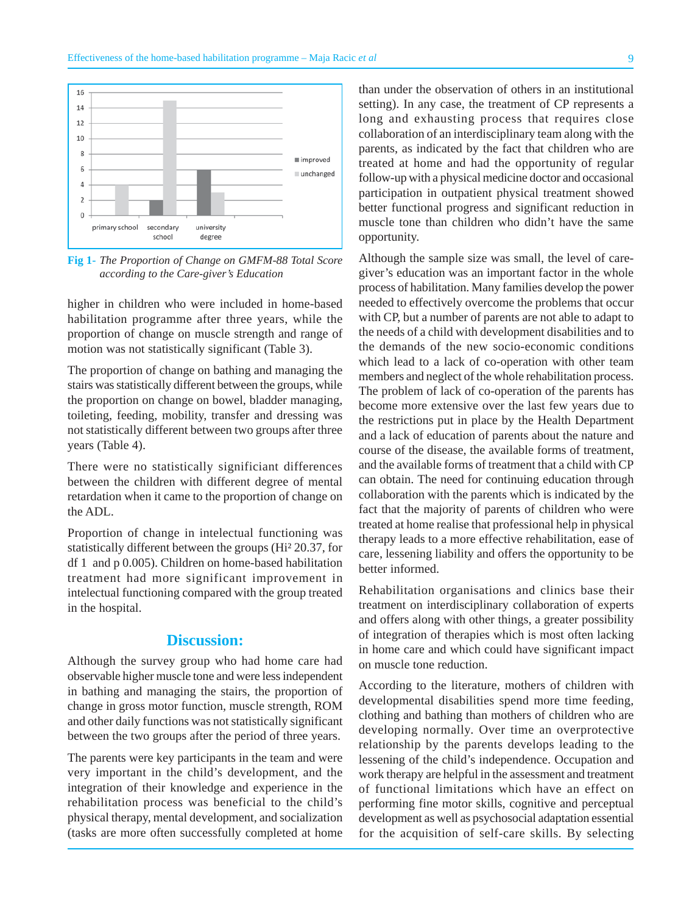

**Fig 1-** *The Proportion of Change on GMFM-88 Total Score according to the Care-giver's Education*

higher in children who were included in home-based habilitation programme after three years, while the proportion of change on muscle strength and range of motion was not statistically significant (Table 3).

The proportion of change on bathing and managing the stairs was statistically different between the groups, while the proportion on change on bowel, bladder managing, toileting, feeding, mobility, transfer and dressing was not statistically different between two groups after three years (Table 4).

There were no statistically significiant differences between the children with different degree of mental retardation when it came to the proportion of change on the ADL.

Proportion of change in intelectual functioning was statistically different between the groups (Hi² 20.37, for df 1 and p 0.005). Children on home-based habilitation treatment had more significant improvement in intelectual functioning compared with the group treated in the hospital.

# **Discussion:**

Although the survey group who had home care had observable higher muscle tone and were less independent in bathing and managing the stairs, the proportion of change in gross motor function, muscle strength, ROM and other daily functions was not statistically significant between the two groups after the period of three years.

The parents were key participants in the team and were very important in the child's development, and the integration of their knowledge and experience in the rehabilitation process was beneficial to the child's physical therapy, mental development, and socialization (tasks are more often successfully completed at home

than under the observation of others in an institutional setting). In any case, the treatment of CP represents a long and exhausting process that requires close collaboration of an interdisciplinary team along with the parents, as indicated by the fact that children who are treated at home and had the opportunity of regular follow-up with a physical medicine doctor and occasional participation in outpatient physical treatment showed better functional progress and significant reduction in muscle tone than children who didn't have the same opportunity.

Although the sample size was small, the level of caregiver's education was an important factor in the whole process of habilitation. Many families develop the power needed to effectively overcome the problems that occur with CP, but a number of parents are not able to adapt to the needs of a child with development disabilities and to the demands of the new socio-economic conditions which lead to a lack of co-operation with other team members and neglect of the whole rehabilitation process. The problem of lack of co-operation of the parents has become more extensive over the last few years due to the restrictions put in place by the Health Department and a lack of education of parents about the nature and course of the disease, the available forms of treatment, and the available forms of treatment that a child with CP can obtain. The need for continuing education through collaboration with the parents which is indicated by the fact that the majority of parents of children who were treated at home realise that professional help in physical therapy leads to a more effective rehabilitation, ease of care, lessening liability and offers the opportunity to be better informed.

Rehabilitation organisations and clinics base their treatment on interdisciplinary collaboration of experts and offers along with other things, a greater possibility of integration of therapies which is most often lacking in home care and which could have significant impact on muscle tone reduction.

According to the literature, mothers of children with developmental disabilities spend more time feeding, clothing and bathing than mothers of children who are developing normally. Over time an overprotective relationship by the parents develops leading to the lessening of the child's independence. Occupation and work therapy are helpful in the assessment and treatment of functional limitations which have an effect on performing fine motor skills, cognitive and perceptual development as well as psychosocial adaptation essential for the acquisition of self-care skills. By selecting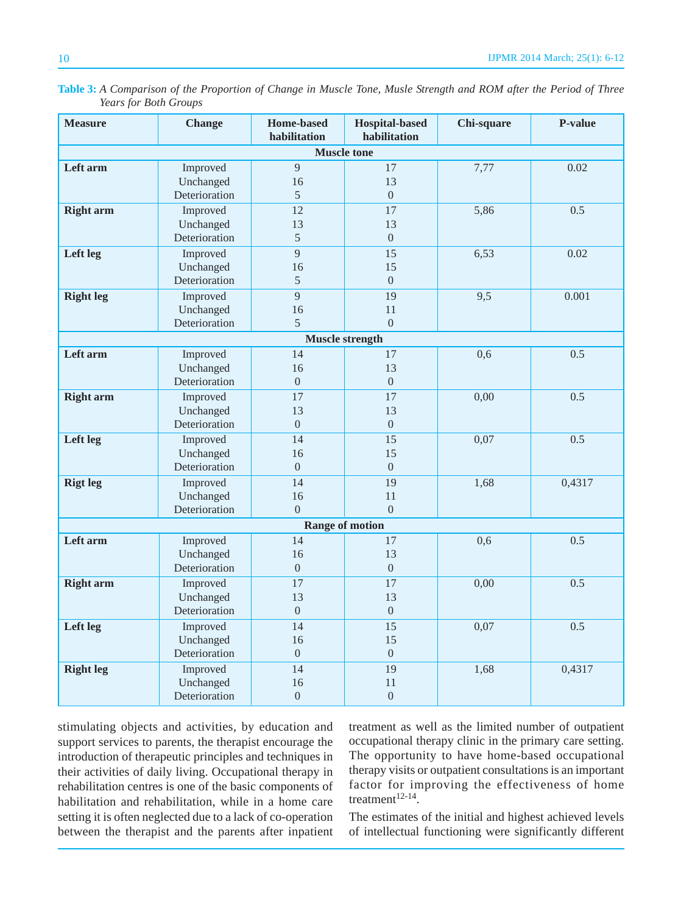| <b>Measure</b>         | <b>Change</b>                          | <b>Home-based</b><br>habilitation | <b>Hospital-based</b><br>habilitation | Chi-square | <b>P-value</b> |  |
|------------------------|----------------------------------------|-----------------------------------|---------------------------------------|------------|----------------|--|
|                        |                                        | <b>Muscle tone</b>                |                                       |            |                |  |
| Left arm               | Improved<br>Unchanged<br>Deterioration | 9<br>16<br>$\overline{5}$         | 17<br>13<br>$\boldsymbol{0}$          | 7,77       | 0.02           |  |
| <b>Right arm</b>       | Improved<br>Unchanged<br>Deterioration | 12<br>13<br>5                     | 17<br>13<br>$\boldsymbol{0}$          | 5,86       | 0.5            |  |
| Left leg               | Improved<br>Unchanged<br>Deterioration | $\overline{9}$<br>16<br>5         | 15<br>15<br>$\overline{0}$            | 6,53       | 0.02           |  |
| <b>Right leg</b>       | Improved<br>Unchanged<br>Deterioration | $\overline{9}$<br>16<br>5         | 19<br>11<br>$\Omega$                  | 9,5        | 0.001          |  |
|                        |                                        | <b>Muscle strength</b>            |                                       |            |                |  |
| Left arm               | Improved<br>Unchanged<br>Deterioration | 14<br>16<br>$\overline{0}$        | 17<br>13<br>$\overline{0}$            | 0,6        | 0.5            |  |
| <b>Right arm</b>       | Improved<br>Unchanged<br>Deterioration | 17<br>13<br>$\boldsymbol{0}$      | 17<br>13<br>$\boldsymbol{0}$          | 0,00       | 0.5            |  |
| Left leg               | Improved<br>Unchanged<br>Deterioration | 14<br>16<br>$\overline{0}$        | 15<br>15<br>$\overline{0}$            | 0,07       | 0.5            |  |
| <b>Rigt leg</b>        | Improved<br>Unchanged<br>Deterioration | 14<br>16<br>$\Omega$              | 19<br>11<br>$\overline{0}$            | 1,68       | 0,4317         |  |
| <b>Range of motion</b> |                                        |                                   |                                       |            |                |  |
| Left arm               | Improved<br>Unchanged<br>Deterioration | 14<br>16<br>$\boldsymbol{0}$      | 17<br>13<br>$\boldsymbol{0}$          | 0, 6       | 0.5            |  |
| <b>Right arm</b>       | Improved<br>Unchanged<br>Deterioration | 17<br>13<br>$\overline{0}$        | 17<br>13<br>$\boldsymbol{0}$          | 0,00       | 0.5            |  |
| Left leg               | Improved<br>Unchanged<br>Deterioration | 14<br>16<br>$\Omega$              | 15<br>15<br>$\overline{0}$            | 0,07       | 0.5            |  |
| <b>Right</b> leg       | Improved<br>Unchanged<br>Deterioration | 14<br>16<br>$\overline{0}$        | 19<br>11<br>$\boldsymbol{0}$          | 1,68       | 0,4317         |  |

**Table 3:** *A Comparison of the Proportion of Change in Muscle Tone, Musle Strength and ROM after the Period of Three Years for Both Groups*

stimulating objects and activities, by education and support services to parents, the therapist encourage the introduction of therapeutic principles and techniques in their activities of daily living. Occupational therapy in rehabilitation centres is one of the basic components of habilitation and rehabilitation, while in a home care setting it is often neglected due to a lack of co-operation between the therapist and the parents after inpatient treatment as well as the limited number of outpatient occupational therapy clinic in the primary care setting. The opportunity to have home-based occupational therapy visits or outpatient consultations is an important factor for improving the effectiveness of home treatment $12-14$ .

The estimates of the initial and highest achieved levels of intellectual functioning were significantly different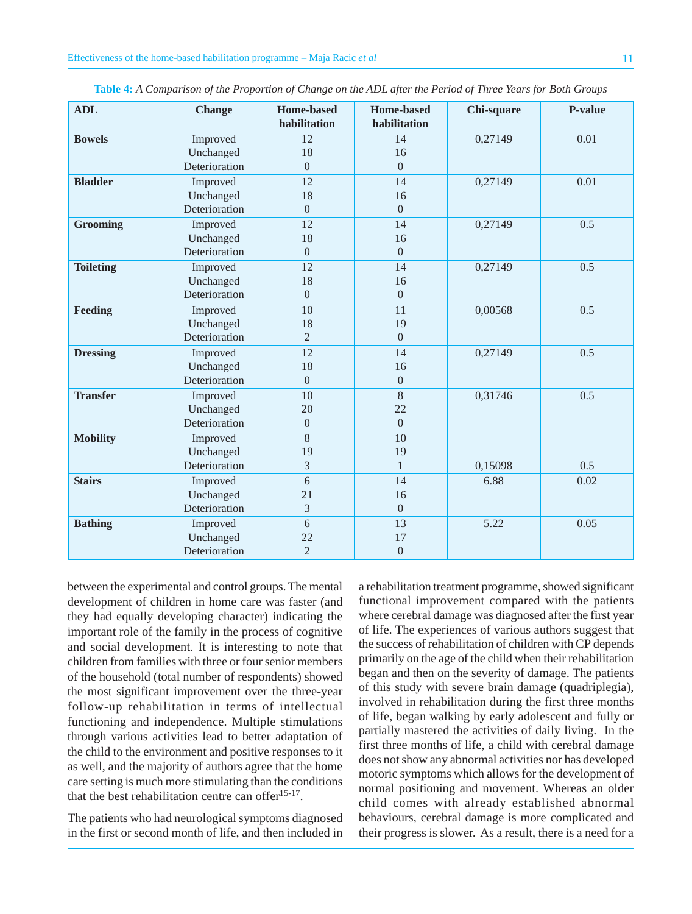| <b>ADL</b>       | <b>Change</b> | <b>Home-based</b><br>habilitation | <b>Home-based</b><br>habilitation | Chi-square | P-value |
|------------------|---------------|-----------------------------------|-----------------------------------|------------|---------|
| <b>Bowels</b>    | Improved      | 12                                | 14                                | 0,27149    | 0.01    |
|                  | Unchanged     | 18                                | 16                                |            |         |
|                  | Deterioration | $\overline{0}$                    | $\overline{0}$                    |            |         |
| <b>Bladder</b>   | Improved      | 12                                | 14                                | 0,27149    | 0.01    |
|                  | Unchanged     | 18                                | 16                                |            |         |
|                  | Deterioration | $\mathbf{0}$                      | $\boldsymbol{0}$                  |            |         |
| <b>Grooming</b>  | Improved      | 12                                | 14                                | 0,27149    | 0.5     |
|                  | Unchanged     | 18                                | 16                                |            |         |
|                  | Deterioration | $\Omega$                          | $\overline{0}$                    |            |         |
| <b>Toileting</b> | Improved      | 12                                | 14                                | 0,27149    | 0.5     |
|                  | Unchanged     | 18                                | 16                                |            |         |
|                  | Deterioration | $\overline{0}$                    | $\boldsymbol{0}$                  |            |         |
| Feeding          | Improved      | 10                                | 11                                | 0,00568    | 0.5     |
|                  | Unchanged     | 18                                | 19                                |            |         |
|                  | Deterioration | $\overline{2}$                    | $\overline{0}$                    |            |         |
| <b>Dressing</b>  | Improved      | 12                                | 14                                | 0,27149    | 0.5     |
|                  | Unchanged     | 18                                | 16                                |            |         |
|                  | Deterioration | $\mathbf{0}$                      | $\boldsymbol{0}$                  |            |         |
| <b>Transfer</b>  | Improved      | 10                                | $\,8\,$                           | 0,31746    | 0.5     |
|                  | Unchanged     | 20                                | 22                                |            |         |
|                  | Deterioration | $\overline{0}$                    | $\overline{0}$                    |            |         |
| <b>Mobility</b>  | Improved      | 8                                 | 10                                |            |         |
|                  | Unchanged     | 19                                | 19                                |            |         |
|                  | Deterioration | 3                                 | $\mathbf{1}$                      | 0,15098    | 0.5     |
| <b>Stairs</b>    | Improved      | 6                                 | 14                                | 6.88       | 0.02    |
|                  | Unchanged     | 21                                | 16                                |            |         |
|                  | Deterioration | 3                                 | $\overline{0}$                    |            |         |
| <b>Bathing</b>   | Improved      | 6                                 | 13                                | 5.22       | 0.05    |
|                  | Unchanged     | 22                                | 17                                |            |         |
|                  | Deterioration | $\overline{2}$                    | $\boldsymbol{0}$                  |            |         |

**Table 4:** *A Comparison of the Proportion of Change on the ADL after the Period of Three Years for Both Groups*

between the experimental and control groups. The mental development of children in home care was faster (and they had equally developing character) indicating the important role of the family in the process of cognitive and social development. It is interesting to note that children from families with three or four senior members of the household (total number of respondents) showed the most significant improvement over the three-year follow-up rehabilitation in terms of intellectual functioning and independence. Multiple stimulations through various activities lead to better adaptation of the child to the environment and positive responses to it as well, and the majority of authors agree that the home care setting is much more stimulating than the conditions that the best rehabilitation centre can offer<sup>15-17</sup>.

The patients who had neurological symptoms diagnosed in the first or second month of life, and then included in

a rehabilitation treatment programme, showed significant functional improvement compared with the patients where cerebral damage was diagnosed after the first year of life. The experiences of various authors suggest that the success of rehabilitation of children with CP depends primarily on the age of the child when their rehabilitation began and then on the severity of damage. The patients of this study with severe brain damage (quadriplegia), involved in rehabilitation during the first three months of life, began walking by early adolescent and fully or partially mastered the activities of daily living. In the first three months of life, a child with cerebral damage does not show any abnormal activities nor has developed motoric symptoms which allows for the development of normal positioning and movement. Whereas an older child comes with already established abnormal behaviours, cerebral damage is more complicated and their progress is slower. As a result, there is a need for a